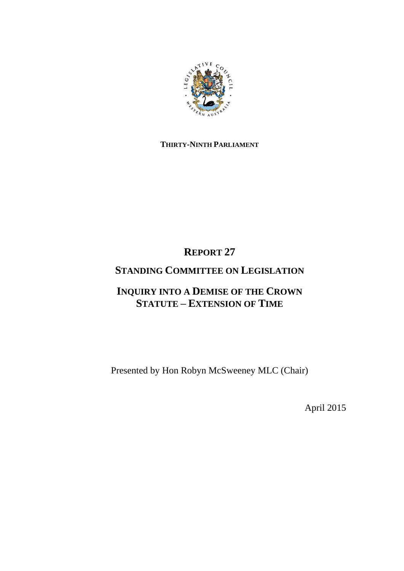

## **THIRTY-NINTH PARLIAMENT**

# **REPORT 27**

# **STANDING COMMITTEE ON LEGISLATION**

# **INQUIRY INTO A DEMISE OF THE CROWN STATUTE – EXTENSION OF TIME**

Presented by Hon Robyn McSweeney MLC (Chair)

April 2015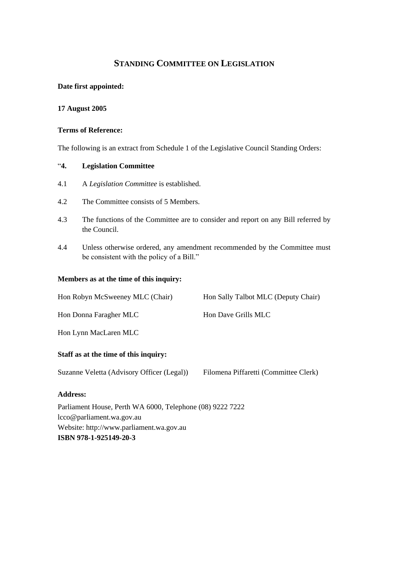## **STANDING COMMITTEE ON LEGISLATION**

### **Date first appointed:**

### **17 August 2005**

#### **Terms of Reference:**

The following is an extract from Schedule 1 of the Legislative Council Standing Orders:

### "**4. Legislation Committee**

- 4.1 A *Legislation Committee* is established.
- 4.2 The Committee consists of 5 Members.
- 4.3 The functions of the Committee are to consider and report on any Bill referred by the Council.
- 4.4 Unless otherwise ordered, any amendment recommended by the Committee must be consistent with the policy of a Bill."

#### **Members as at the time of this inquiry:**

| Hon Robyn McSweeney MLC (Chair)                                                                 | Hon Sally Talbot MLC (Deputy Chair)   |
|-------------------------------------------------------------------------------------------------|---------------------------------------|
| Hon Donna Faragher MLC                                                                          | Hon Dave Grills MLC                   |
| Hon Lynn MacLaren MLC                                                                           |                                       |
| Staff as at the time of this inquiry:                                                           |                                       |
| Suzanne Veletta (Advisory Officer (Legal))                                                      | Filomena Piffaretti (Committee Clerk) |
| <b>Address:</b>                                                                                 |                                       |
| Parliament House, Perth WA 6000, Telephone (08) 9222 7222<br>$l_{\rm CO}$ @narliament wa qov au |                                       |

lcco@parliament.wa.gov.au Website: http://www.parliament.wa.gov.au **ISBN [978-1-925149-20-3](https://www.myidentifiers.com.au/myaccount_manageisbns_titlereg?isbn=978-1-925149-20-3&icon_type=new)**